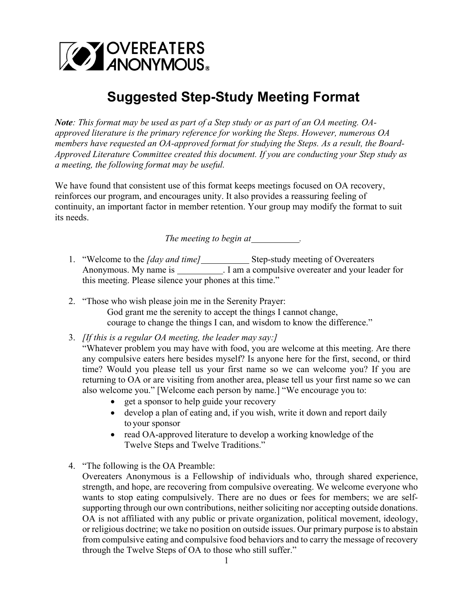

# **Suggested Step-Study Meeting Format**

*Note: This format may be used as part of a Step study or as part of an OA meeting. OAapproved literature is the primary reference for working the Steps. However, numerous OA members have requested an OA-approved format for studying the Steps. As a result, the Board-Approved Literature Committee created this document. If you are conducting your Step study as a meeting, the following format may be useful.* 

We have found that consistent use of this format keeps meetings focused on OA recovery, reinforces our program, and encourages unity. It also provides a reassuring feeling of continuity, an important factor in member retention. Your group may modify the format to suit its needs.

*The meeting to begin at* 1.

- 1. "Welcome to the *[day and time]* Step-study meeting of Overeaters Anonymous. My name is \_\_\_\_\_\_\_\_\_\_\_. I am a compulsive overeater and your leader for this meeting. Please silence your phones at this time."
- 2. "Those who wish please join me in the Serenity Prayer: God grant me the serenity to accept the things I cannot change, courage to change the things I can, and wisdom to know the difference."
- 3. *[If this is a regular OA meeting, the leader may say:]*

"Whatever problem you may have with food, you are welcome at this meeting. Are there any compulsive eaters here besides myself? Is anyone here for the first, second, or third time? Would you please tell us your first name so we can welcome you? If you are returning to OA or are visiting from another area, please tell us your first name so we can also welcome you." [Welcome each person by name.] "We encourage you to:

- get a sponsor to help guide your recovery
- develop a plan of eating and, if you wish, write it down and report daily to your sponsor
- read OA-approved literature to develop a working knowledge of the Twelve Steps and Twelve Traditions."
- 4. "The following is the OA Preamble:
	- Overeaters Anonymous is a Fellowship of individuals who, through shared experience, strength, and hope, are recovering from compulsive overeating. We welcome everyone who wants to stop eating compulsively. There are no dues or fees for members; we are selfsupporting through our own contributions, neither soliciting nor accepting outside donations. OA is not affiliated with any public or private organization, political movement, ideology, or religious doctrine; we take no position on outside issues. Our primary purpose is to abstain from compulsive eating and compulsive food behaviors and to carry the message of recovery through the Twelve Steps of OA to those who still suffer."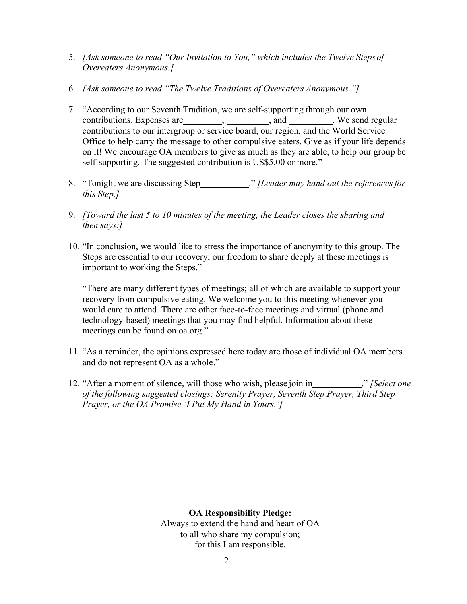- 5. *[Ask someone to read "Our Invitation to You," which includes the Twelve Steps of Overeaters Anonymous.]*
- 6. *[Ask someone to read "The Twelve Traditions of Overeaters Anonymous."]*
- 7. "According to our Seventh Tradition, we are self-supporting through our own contributions. Expenses are \_\_\_\_\_\_\_\_\_, \_\_\_\_\_\_\_\_\_, and \_\_\_\_\_\_\_\_\_. We send regular contributions to our intergroup or service board, our region, and the World Service Office to help carry the message to other compulsive eaters. Give as if your life depends on it! We encourage OA members to give as much as they are able, to help our group be self-supporting. The suggested contribution is US\$5.00 or more."
- 8. "Tonight we are discussing Step ." *[Leader may hand out the references for this Step.]*
- 9. *[Toward the last 5 to 10 minutes of the meeting, the Leader closes the sharing and then says:]*
- 10. "In conclusion, we would like to stress the importance of anonymity to this group. The Steps are essential to our recovery; our freedom to share deeply at these meetings is important to working the Steps."

"There are many different types of meetings; all of which are available to support your recovery from compulsive eating. We welcome you to this meeting whenever you would care to attend. There are other face-to-face meetings and virtual (phone and technology-based) meetings that you may find helpful. Information about these meetings can be found on oa.org."

- 11. "As a reminder, the opinions expressed here today are those of individual OA members and do not represent OA as a whole."
- 12. "After a moment of silence, will those who wish, please join in ." *[Select one of the following suggested closings: Serenity Prayer, Seventh Step Prayer, Third Step Prayer, or the OA Promise 'I Put My Hand in Yours.']*

**OA Responsibility Pledge:**

Always to extend the hand and heart of OA to all who share my compulsion; for this I am responsible.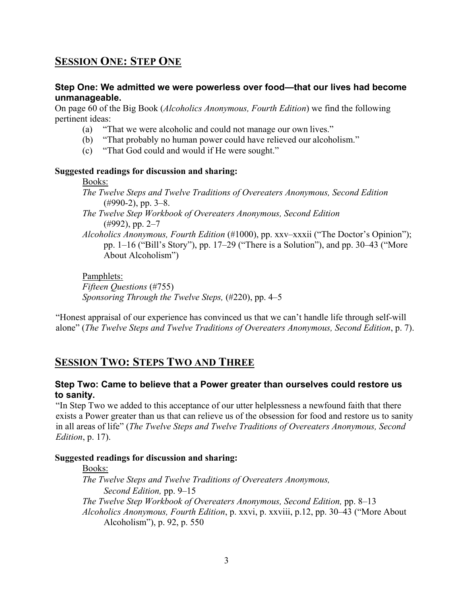# **SESSION ONE: STEP ONE**

#### **Step One: We admitted we were powerless over food—that our lives had become unmanageable.**

On page 60 of the Big Book (*Alcoholics Anonymous, Fourth Edition*) we find the following pertinent ideas:

- (a) "That we were alcoholic and could not manage our own lives."
- (b) "That probably no human power could have relieved our alcoholism."
- (c) "That God could and would if He were sought."

#### **Suggested readings for discussion and sharing:**

#### Books:

*The Twelve Steps and Twelve Traditions of Overeaters Anonymous, Second Edition*  (#990-2), pp. 3–8.

*The Twelve Step Workbook of Overeaters Anonymous, Second Edition*  (#992), pp. 2–7

*Alcoholics Anonymous, Fourth Edition* (#1000), pp. xxv–xxxii ("The Doctor's Opinion"); pp. 1–16 ("Bill's Story"), pp. 17–29 ("There is a Solution"), and pp. 30–43 ("More About Alcoholism")

Pamphlets: *Fifteen Questions* (#755) *Sponsoring Through the Twelve Steps,* (#220), pp. 4–5

"Honest appraisal of our experience has convinced us that we can't handle life through self-will alone" (*The Twelve Steps and Twelve Traditions of Overeaters Anonymous, Second Edition*, p. 7).

## **SESSION TWO: STEPS TWO AND THREE**

#### **Step Two: Came to believe that a Power greater than ourselves could restore us to sanity.**

"In Step Two we added to this acceptance of our utter helplessness a newfound faith that there exists a Power greater than us that can relieve us of the obsession for food and restore us to sanity in all areas of life" (*The Twelve Steps and Twelve Traditions of Overeaters Anonymous, Second Edition*, p. 17).

#### **Suggested readings for discussion and sharing:**

Books: *The Twelve Steps and Twelve Traditions of Overeaters Anonymous, Second Edition,* pp. 9–15 *The Twelve Step Workbook of Overeaters Anonymous, Second Edition,* pp. 8–13 *Alcoholics Anonymous, Fourth Edition*, p. xxvi, p. xxviii, p.12, pp. 30–43 ("More About Alcoholism"), p. 92, p. 550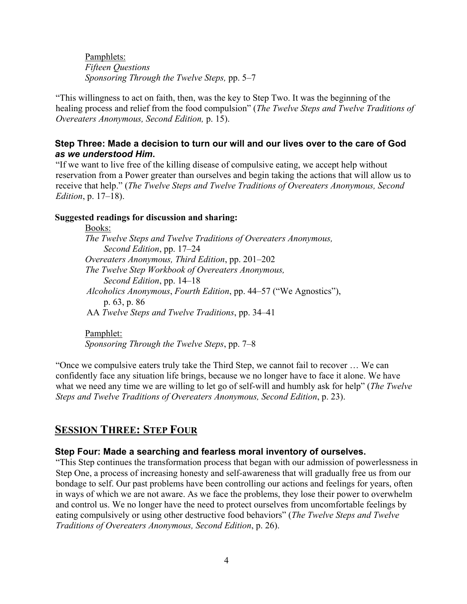Pamphlets: *Fifteen Questions Sponsoring Through the Twelve Steps,* pp. 5–7

"This willingness to act on faith, then, was the key to Step Two. It was the beginning of the healing process and relief from the food compulsion" (*The Twelve Steps and Twelve Traditions of Overeaters Anonymous, Second Edition,* p. 15).

#### **Step Three: Made a decision to turn our will and our lives over to the care of God** *as we understood Him***.**

"If we want to live free of the killing disease of compulsive eating, we accept help without reservation from a Power greater than ourselves and begin taking the actions that will allow us to receive that help." (*The Twelve Steps and Twelve Traditions of Overeaters Anonymous, Second Edition*, p. 17–18).

#### **Suggested readings for discussion and sharing:**

Books: *The Twelve Steps and Twelve Traditions of Overeaters Anonymous, Second Edition*, pp. 17–24 *Overeaters Anonymous, Third Edition*, pp. 201–202 *The Twelve Step Workbook of Overeaters Anonymous, Second Edition*, pp. 14–18 *Alcoholics Anonymous*, *Fourth Edition*, pp. 44–57 ("We Agnostics"), p. 63, p. 86 AA *Twelve Steps and Twelve Traditions*, pp. 34–41

Pamphlet: *Sponsoring Through the Twelve Steps*, pp. 7–8

"Once we compulsive eaters truly take the Third Step, we cannot fail to recover … We can confidently face any situation life brings, because we no longer have to face it alone. We have what we need any time we are willing to let go of self-will and humbly ask for help" (*The Twelve Steps and Twelve Traditions of Overeaters Anonymous, Second Edition*, p. 23).

# **SESSION THREE: STEP FOUR**

### **Step Four: Made a searching and fearless moral inventory of ourselves.**

"This Step continues the transformation process that began with our admission of powerlessness in Step One, a process of increasing honesty and self-awareness that will gradually free us from our bondage to self. Our past problems have been controlling our actions and feelings for years, often in ways of which we are not aware. As we face the problems, they lose their power to overwhelm and control us. We no longer have the need to protect ourselves from uncomfortable feelings by eating compulsively or using other destructive food behaviors" (*The Twelve Steps and Twelve Traditions of Overeaters Anonymous, Second Edition*, p. 26).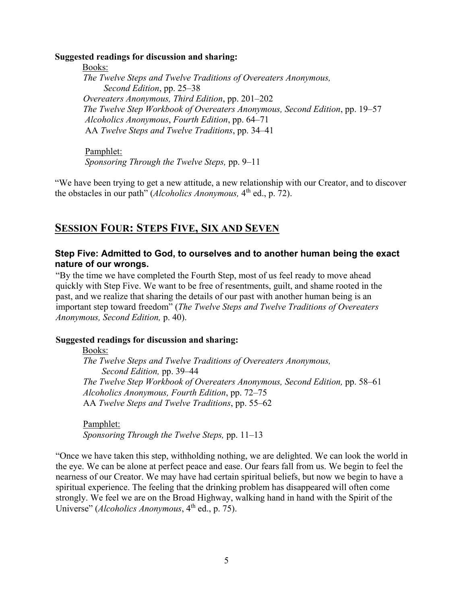#### **Suggested readings for discussion and sharing:**

Books: *The Twelve Steps and Twelve Traditions of Overeaters Anonymous, Second Edition*, pp. 25–38 *Overeaters Anonymous, Third Edition*, pp. 201–202 *The Twelve Step Workbook of Overeaters Anonymous, Second Edition*, pp. 19–57 *Alcoholics Anonymous*, *Fourth Edition*, pp. 64–71 AA *Twelve Steps and Twelve Traditions*, pp. 34–41

Pamphlet: *Sponsoring Through the Twelve Steps,* pp. 9–11

"We have been trying to get a new attitude, a new relationship with our Creator, and to discover the obstacles in our path" (*Alcoholics Anonymous*, 4<sup>th</sup> ed., p. 72).

## **SESSION FOUR: STEPS FIVE, SIX AND SEVEN**

#### **Step Five: Admitted to God, to ourselves and to another human being the exact nature of our wrongs.**

"By the time we have completed the Fourth Step, most of us feel ready to move ahead quickly with Step Five. We want to be free of resentments, guilt, and shame rooted in the past, and we realize that sharing the details of our past with another human being is an important step toward freedom" (*The Twelve Steps and Twelve Traditions of Overeaters Anonymous, Second Edition,* p. 40).

#### **Suggested readings for discussion and sharing:**

Books: *The Twelve Steps and Twelve Traditions of Overeaters Anonymous, Second Edition,* pp. 39–44 *The Twelve Step Workbook of Overeaters Anonymous, Second Edition,* pp. 58–61 *Alcoholics Anonymous, Fourth Edition*, pp. 72–75 AA *Twelve Steps and Twelve Traditions*, pp. 55–62

Pamphlet: *Sponsoring Through the Twelve Steps,* pp. 11–13

"Once we have taken this step, withholding nothing, we are delighted. We can look the world in the eye. We can be alone at perfect peace and ease. Our fears fall from us. We begin to feel the nearness of our Creator. We may have had certain spiritual beliefs, but now we begin to have a spiritual experience. The feeling that the drinking problem has disappeared will often come strongly. We feel we are on the Broad Highway, walking hand in hand with the Spirit of the Universe" (*Alcoholics Anonymous*, 4<sup>th</sup> ed., p. 75).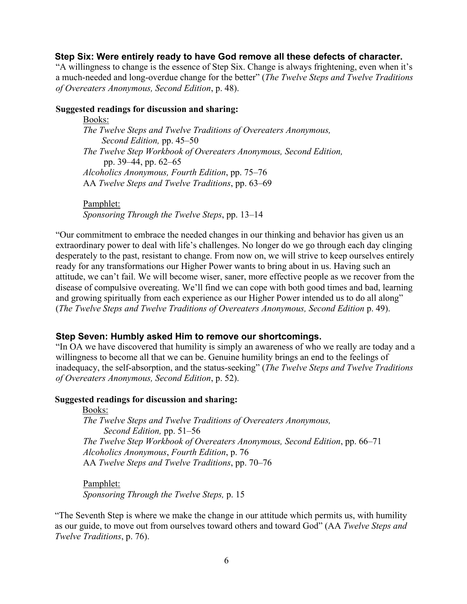#### **Step Six: Were entirely ready to have God remove all these defects of character.**

"A willingness to change is the essence of Step Six. Change is always frightening, even when it's a much-needed and long-overdue change for the better" (*The Twelve Steps and Twelve Traditions of Overeaters Anonymous, Second Edition*, p. 48).

#### **Suggested readings for discussion and sharing:**

Books: *The Twelve Steps and Twelve Traditions of Overeaters Anonymous, Second Edition,* pp. 45–50 *The Twelve Step Workbook of Overeaters Anonymous, Second Edition,*  pp. 39–44, pp. 62–65 *Alcoholics Anonymous, Fourth Edition*, pp. 75–76 AA *Twelve Steps and Twelve Traditions*, pp. 63–69

Pamphlet: *Sponsoring Through the Twelve Steps*, pp. 13–14

"Our commitment to embrace the needed changes in our thinking and behavior has given us an extraordinary power to deal with life's challenges. No longer do we go through each day clinging desperately to the past, resistant to change. From now on, we will strive to keep ourselves entirely ready for any transformations our Higher Power wants to bring about in us. Having such an attitude, we can't fail. We will become wiser, saner, more effective people as we recover from the disease of compulsive overeating. We'll find we can cope with both good times and bad, learning and growing spiritually from each experience as our Higher Power intended us to do all along" (*The Twelve Steps and Twelve Traditions of Overeaters Anonymous, Second Edition* p. 49).

#### **Step Seven: Humbly asked Him to remove our shortcomings.**

"In OA we have discovered that humility is simply an awareness of who we really are today and a willingness to become all that we can be. Genuine humility brings an end to the feelings of inadequacy, the self-absorption, and the status-seeking" (*The Twelve Steps and Twelve Traditions of Overeaters Anonymous, Second Edition*, p. 52).

#### **Suggested readings for discussion and sharing:**

Books: *The Twelve Steps and Twelve Traditions of Overeaters Anonymous, Second Edition,* pp. 51–56 *The Twelve Step Workbook of Overeaters Anonymous, Second Edition*, pp. 66–71 *Alcoholics Anonymous*, *Fourth Edition*, p. 76 AA *Twelve Steps and Twelve Traditions*, pp. 70–76

Pamphlet: *Sponsoring Through the Twelve Steps,* p. 15

"The Seventh Step is where we make the change in our attitude which permits us, with humility as our guide, to move out from ourselves toward others and toward God" (AA *Twelve Steps and Twelve Traditions*, p. 76).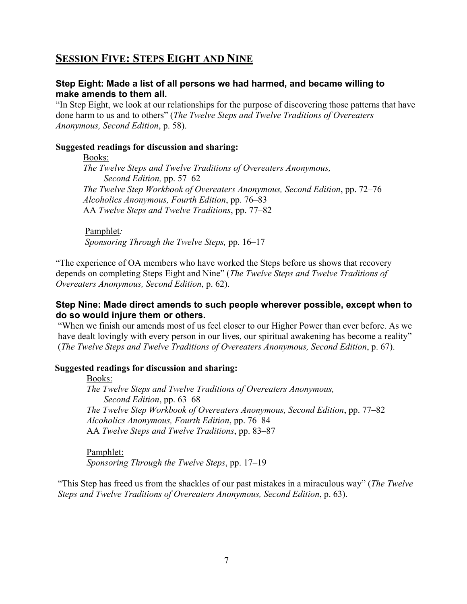# **SESSION FIVE: STEPS EIGHT AND NINE**

#### **Step Eight: Made a list of all persons we had harmed, and became willing to make amends to them all.**

"In Step Eight, we look at our relationships for the purpose of discovering those patterns that have done harm to us and to others" (*The Twelve Steps and Twelve Traditions of Overeaters Anonymous, Second Edition*, p. 58).

#### **Suggested readings for discussion and sharing:**

Books:

*The Twelve Steps and Twelve Traditions of Overeaters Anonymous, Second Edition,* pp. 57–62 *The Twelve Step Workbook of Overeaters Anonymous, Second Edition*, pp. 72–76 *Alcoholics Anonymous, Fourth Edition*, pp. 76–83 AA *Twelve Steps and Twelve Traditions*, pp. 77–82

Pamphlet*: Sponsoring Through the Twelve Steps,* pp. 16–17

"The experience of OA members who have worked the Steps before us shows that recovery depends on completing Steps Eight and Nine" (*The Twelve Steps and Twelve Traditions of Overeaters Anonymous, Second Edition*, p. 62).

#### **Step Nine: Made direct amends to such people wherever possible, except when to do so would injure them or others.**

 "When we finish our amends most of us feel closer to our Higher Power than ever before. As we have dealt lovingly with every person in our lives, our spiritual awakening has become a reality" (*The Twelve Steps and Twelve Traditions of Overeaters Anonymous, Second Edition*, p. 67).

#### **Suggested readings for discussion and sharing:**

Books: *The Twelve Steps and Twelve Traditions of Overeaters Anonymous, Second Edition*, pp. 63–68 *The Twelve Step Workbook of Overeaters Anonymous, Second Edition*, pp. 77–82 *Alcoholics Anonymous, Fourth Edition*, pp. 76–84 AA *Twelve Steps and Twelve Traditions*, pp. 83–87

Pamphlet: *Sponsoring Through the Twelve Steps*, pp. 17–19

"This Step has freed us from the shackles of our past mistakes in a miraculous way" (*The Twelve Steps and Twelve Traditions of Overeaters Anonymous, Second Edition*, p. 63).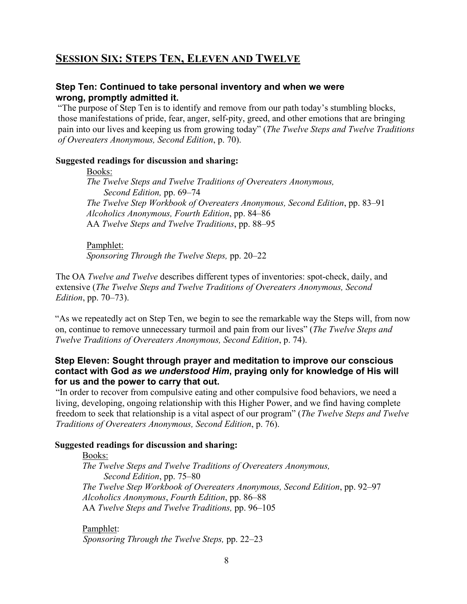# **SESSION SIX: STEPS TEN, ELEVEN AND TWELVE**

#### **Step Ten: Continued to take personal inventory and when we were wrong, promptly admitted it.**

 "The purpose of Step Ten is to identify and remove from our path today's stumbling blocks, those manifestations of pride, fear, anger, self-pity, greed, and other emotions that are bringing pain into our lives and keeping us from growing today" (*The Twelve Steps and Twelve Traditions of Overeaters Anonymous, Second Edition*, p. 70).

#### **Suggested readings for discussion and sharing:**

Books: *The Twelve Steps and Twelve Traditions of Overeaters Anonymous, Second Edition,* pp. 69–74 *The Twelve Step Workbook of Overeaters Anonymous, Second Edition*, pp. 83–91 *Alcoholics Anonymous, Fourth Edition*, pp. 84–86 AA *Twelve Steps and Twelve Traditions*, pp. 88–95

Pamphlet: *Sponsoring Through the Twelve Steps,* pp. 20–22

The OA *Twelve and Twelve* describes different types of inventories: spot-check, daily, and extensive (*The Twelve Steps and Twelve Traditions of Overeaters Anonymous, Second Edition*, pp. 70–73).

"As we repeatedly act on Step Ten, we begin to see the remarkable way the Steps will, from now on, continue to remove unnecessary turmoil and pain from our lives" (*The Twelve Steps and Twelve Traditions of Overeaters Anonymous, Second Edition*, p. 74).

#### **Step Eleven: Sought through prayer and meditation to improve our conscious contact with God** *as we understood Him***, praying only for knowledge of His will for us and the power to carry that out.**

"In order to recover from compulsive eating and other compulsive food behaviors, we need a living, developing, ongoing relationship with this Higher Power, and we find having complete freedom to seek that relationship is a vital aspect of our program" (*The Twelve Steps and Twelve Traditions of Overeaters Anonymous, Second Edition*, p. 76).

#### **Suggested readings for discussion and sharing:**

#### Books:

*The Twelve Steps and Twelve Traditions of Overeaters Anonymous, Second Edition*, pp. 75–80 *The Twelve Step Workbook of Overeaters Anonymous, Second Edition*, pp. 92–97 *Alcoholics Anonymous*, *Fourth Edition*, pp. 86–88 AA *Twelve Steps and Twelve Traditions,* pp. 96–105

Pamphlet: *Sponsoring Through the Twelve Steps,* pp. 22–23